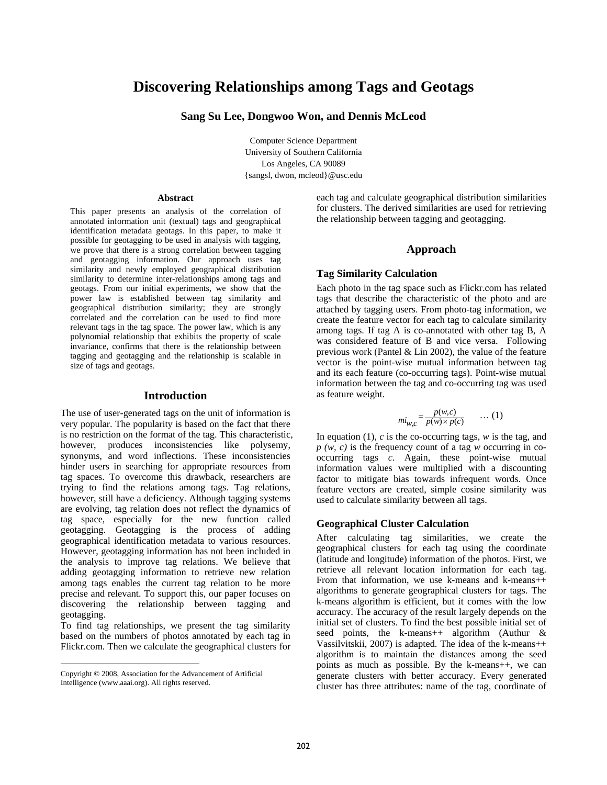# **Discovering Relationships among Tags and Geotags**

## **Sang Su Lee, Dongwoo Won, and Dennis McLeod**

Computer Science Department University of Southern California Los Angeles, CA 90089 {sangsl, dwon, mcleod}@usc.edu

#### **Abstract**

This paper presents an analysis of the correlation of annotated information unit (textual) tags and geographical identification metadata geotags. In this paper, to make it possible for geotagging to be used in analysis with tagging, we prove that there is a strong correlation between tagging and geotagging information. Our approach uses tag similarity and newly employed geographical distribution similarity to determine inter-relationships among tags and geotags. From our initial experiments, we show that the power law is established between tag similarity and geographical distribution similarity; they are strongly correlated and the correlation can be used to find more relevant tags in the tag space. The power law, which is any polynomial relationship that exhibits the property of scale invariance, confirms that there is the relationship between tagging and geotagging and the relationship is scalable in size of tags and geotags.

#### **Introduction**

The use of user-generated tags on the unit of information is very popular. The popularity is based on the fact that there is no restriction on the format of the tag. This characteristic, however, produces inconsistencies like polysemy, synonyms, and word inflections. These inconsistencies hinder users in searching for appropriate resources from tag spaces. To overcome this drawback, researchers are trying to find the relations among tags. Tag relations, however, still have a deficiency. Although tagging systems are evolving, tag relation does not reflect the dynamics of tag space, especially for the new function called geotagging. Geotagging is the process of adding geographical identification metadata to various resources. However, geotagging information has not been included in the analysis to improve tag relations. We believe that adding geotagging information to retrieve new relation among tags enables the current tag relation to be more precise and relevant. To support this, our paper focuses on discovering the relationship between tagging and geotagging.

To find tag relationships, we present the tag similarity based on the numbers of photos annotated by each tag in Flickr.com. Then we calculate the geographical clusters for

l

each tag and calculate geographical distribution similarities for clusters. The derived similarities are used for retrieving the relationship between tagging and geotagging.

## **Approach**

#### **Tag Similarity Calculation**

Each photo in the tag space such as Flickr.com has related tags that describe the characteristic of the photo and are attached by tagging users. From photo-tag information, we create the feature vector for each tag to calculate similarity among tags. If tag A is co-annotated with other tag B, A was considered feature of B and vice versa. Following previous work (Pantel & Lin 2002), the value of the feature vector is the point-wise mutual information between tag and its each feature (co-occurring tags). Point-wise mutual information between the tag and co-occurring tag was used as feature weight.

$$
mi_{W,C} = \frac{p(w,c)}{p(w) \times p(c)} \qquad \dots (1)
$$

In equation (1), *c* is the co-occurring tags, *w* is the tag, and *p (w, c)* is the frequency count of a tag *w* occurring in cooccurring tags *c*. Again, these point-wise mutual information values were multiplied with a discounting factor to mitigate bias towards infrequent words. Once feature vectors are created, simple cosine similarity was used to calculate similarity between all tags.

## **Geographical Cluster Calculation**

After calculating tag similarities, we create the geographical clusters for each tag using the coordinate (latitude and longitude) information of the photos. First, we retrieve all relevant location information for each tag. From that information, we use k-means and k-means++ algorithms to generate geographical clusters for tags. The k-means algorithm is efficient, but it comes with the low accuracy. The accuracy of the result largely depends on the initial set of clusters. To find the best possible initial set of seed points, the k-means++ algorithm (Authur & Vassilvitskii, 2007) is adapted. The idea of the k-means++ algorithm is to maintain the distances among the seed points as much as possible. By the k-means++, we can generate clusters with better accuracy. Every generated cluster has three attributes: name of the tag, coordinate of

Copyright © 2008, Association for the Advancement of Artificial Intelligence (www.aaai.org). All rights reserved.